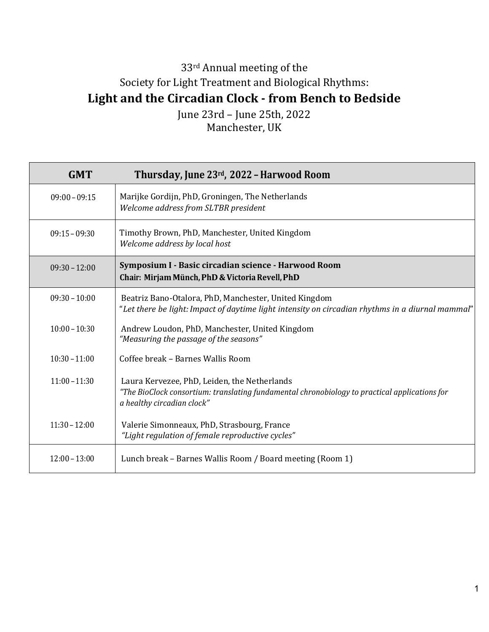## 33rd Annual meeting of the Society for Light Treatment and Biological Rhythms: **Light and the Circadian Clock - from Bench to Bedside**

June 23rd – June 25th, 2022 Manchester, UK

| <b>GMT</b>      | Thursday, June 23rd, 2022 - Harwood Room                                                                                                                                    |
|-----------------|-----------------------------------------------------------------------------------------------------------------------------------------------------------------------------|
| $09:00 - 09:15$ | Marijke Gordijn, PhD, Groningen, The Netherlands<br>Welcome address from SLTBR president                                                                                    |
| $09:15 - 09:30$ | Timothy Brown, PhD, Manchester, United Kingdom<br>Welcome address by local host                                                                                             |
| $09:30 - 12:00$ | Symposium I - Basic circadian science - Harwood Room<br>Chair: Mirjam Münch, PhD & Victoria Revell, PhD                                                                     |
| $09:30 - 10:00$ | Beatriz Bano-Otalora, PhD, Manchester, United Kingdom<br>"Let there be light: Impact of daytime light intensity on circadian rhythms in a diurnal mammal"                   |
| $10:00 - 10:30$ | Andrew Loudon, PhD, Manchester, United Kingdom<br>"Measuring the passage of the seasons"                                                                                    |
| $10:30 - 11:00$ | Coffee break - Barnes Wallis Room                                                                                                                                           |
| $11:00 - 11:30$ | Laura Kervezee, PhD, Leiden, the Netherlands<br>"The BioClock consortium: translating fundamental chronobiology to practical applications for<br>a healthy circadian clock" |
| $11:30 - 12:00$ | Valerie Simonneaux, PhD, Strasbourg, France<br>"Light regulation of female reproductive cycles"                                                                             |
| $12:00 - 13:00$ | Lunch break - Barnes Wallis Room / Board meeting (Room 1)                                                                                                                   |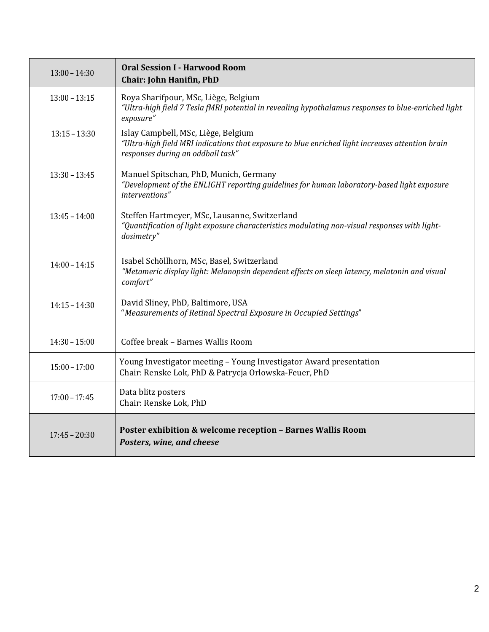| $13:00 - 14:30$ | <b>Oral Session I - Harwood Room</b><br><b>Chair: John Hanifin, PhD</b>                                                                                                      |
|-----------------|------------------------------------------------------------------------------------------------------------------------------------------------------------------------------|
| $13:00 - 13:15$ | Roya Sharifpour, MSc, Liège, Belgium<br>"Ultra-high field 7 Tesla fMRI potential in revealing hypothalamus responses to blue-enriched light<br>exposure"                     |
| $13:15 - 13:30$ | Islay Campbell, MSc, Liège, Belgium<br>"Ultra-high field MRI indications that exposure to blue enriched light increases attention brain<br>responses during an oddball task" |
| $13:30 - 13:45$ | Manuel Spitschan, PhD, Munich, Germany<br>"Development of the ENLIGHT reporting guidelines for human laboratory-based light exposure<br>interventions"                       |
| $13:45 - 14:00$ | Steffen Hartmeyer, MSc, Lausanne, Switzerland<br>"Quantification of light exposure characteristics modulating non-visual responses with light-<br>dosimetry"                 |
| $14:00 - 14:15$ | Isabel Schöllhorn, MSc, Basel, Switzerland<br>"Metameric display light: Melanopsin dependent effects on sleep latency, melatonin and visual<br>comfort"                      |
| $14:15 - 14:30$ | David Sliney, PhD, Baltimore, USA<br>"Measurements of Retinal Spectral Exposure in Occupied Settings"                                                                        |
| $14:30 - 15:00$ | Coffee break - Barnes Wallis Room                                                                                                                                            |
| $15:00 - 17:00$ | Young Investigator meeting - Young Investigator Award presentation<br>Chair: Renske Lok, PhD & Patrycja Orlowska-Feuer, PhD                                                  |
| $17:00 - 17:45$ | Data blitz posters<br>Chair: Renske Lok, PhD                                                                                                                                 |
| $17:45 - 20:30$ | Poster exhibition & welcome reception - Barnes Wallis Room<br>Posters, wine, and cheese                                                                                      |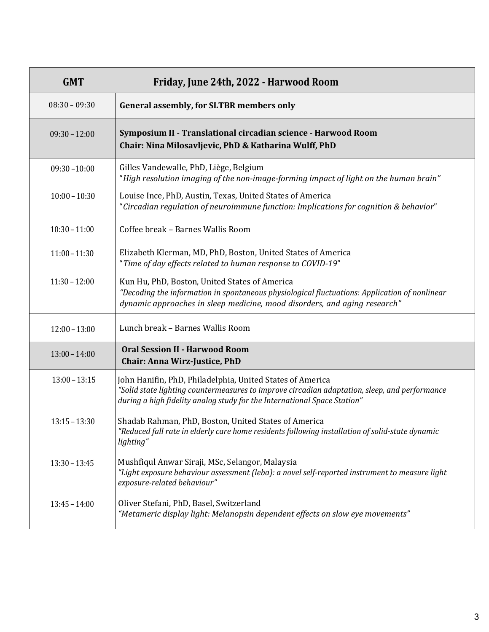| <b>GMT</b>      | Friday, June 24th, 2022 - Harwood Room                                                                                                                                                                                                 |  |  |
|-----------------|----------------------------------------------------------------------------------------------------------------------------------------------------------------------------------------------------------------------------------------|--|--|
| $08:30 - 09:30$ | <b>General assembly, for SLTBR members only</b>                                                                                                                                                                                        |  |  |
| $09:30 - 12:00$ | Symposium II - Translational circadian science - Harwood Room<br>Chair: Nina Milosavljevic, PhD & Katharina Wulff, PhD                                                                                                                 |  |  |
| $09:30 - 10:00$ | Gilles Vandewalle, PhD, Liège, Belgium<br>"High resolution imaging of the non-image-forming impact of light on the human brain"                                                                                                        |  |  |
| $10:00 - 10:30$ | Louise Ince, PhD, Austin, Texas, United States of America<br>"Circadian regulation of neuroimmune function: Implications for cognition & behavior"                                                                                     |  |  |
| $10:30 - 11:00$ | Coffee break - Barnes Wallis Room                                                                                                                                                                                                      |  |  |
| $11:00 - 11:30$ | Elizabeth Klerman, MD, PhD, Boston, United States of America<br>"Time of day effects related to human response to COVID-19"                                                                                                            |  |  |
| $11:30 - 12:00$ | Kun Hu, PhD, Boston, United States of America<br>"Decoding the information in spontaneous physiological fluctuations: Application of nonlinear<br>dynamic approaches in sleep medicine, mood disorders, and aging research"            |  |  |
| $12:00 - 13:00$ | Lunch break - Barnes Wallis Room                                                                                                                                                                                                       |  |  |
| $13:00 - 14:00$ | <b>Oral Session II - Harwood Room</b><br>Chair: Anna Wirz-Justice, PhD                                                                                                                                                                 |  |  |
| $13:00 - 13:15$ | John Hanifin, PhD, Philadelphia, United States of America<br>"Solid state lighting countermeasures to improve circadian adaptation, sleep, and performance<br>during a high fidelity analog study for the International Space Station" |  |  |
| $13:15 - 13:30$ | Shadab Rahman, PhD, Boston, United States of America<br>"Reduced fall rate in elderly care home residents following installation of solid-state dynamic<br>lighting"                                                                   |  |  |
| $13:30 - 13:45$ | Mushfiqul Anwar Siraji, MSc, Selangor, Malaysia<br>"Light exposure behaviour assessment (leba): a novel self-reported instrument to measure light<br>exposure-related behaviour"                                                       |  |  |
| $13:45 - 14:00$ | Oliver Stefani, PhD, Basel, Switzerland<br>"Metameric display light: Melanopsin dependent effects on slow eye movements"                                                                                                               |  |  |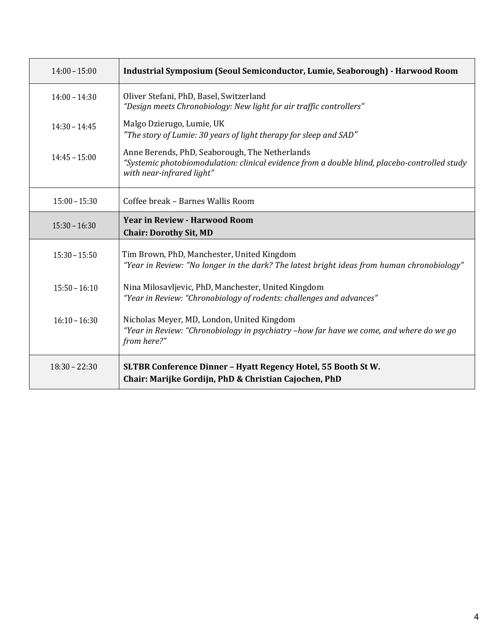| $14:00 - 15:00$ | Industrial Symposium (Seoul Semiconductor, Lumie, Seaborough) - Harwood Room                                                                                                 |  |
|-----------------|------------------------------------------------------------------------------------------------------------------------------------------------------------------------------|--|
| $14:00 - 14:30$ | Oliver Stefani, PhD, Basel, Switzerland<br>"Design meets Chronobiology: New light for air traffic controllers"                                                               |  |
| $14:30 - 14:45$ | Malgo Dzierugo, Lumie, UK<br>"The story of Lumie: 30 years of light therapy for sleep and SAD"                                                                               |  |
| $14:45 - 15:00$ | Anne Berends, PhD, Seaborough, The Netherlands<br>"Systemic photobiomodulation: clinical evidence from a double blind, placebo-controlled study<br>with near-infrared light" |  |
| $15:00 - 15:30$ | Coffee break - Barnes Wallis Room                                                                                                                                            |  |
| $15:30 - 16:30$ | <b>Year in Review - Harwood Room</b><br><b>Chair: Dorothy Sit, MD</b>                                                                                                        |  |
| $15:30 - 15:50$ | Tim Brown, PhD, Manchester, United Kingdom<br>"Year in Review: "No longer in the dark? The latest bright ideas from human chronobiology"                                     |  |
| $15:50 - 16:10$ | Nina Milosavljevic, PhD, Manchester, United Kingdom<br>"Year in Review: "Chronobiology of rodents: challenges and advances"                                                  |  |
| $16:10 - 16:30$ | Nicholas Meyer, MD, London, United Kingdom<br>"Year in Review: "Chronobiology in psychiatry -how far have we come, and where do we go<br>from here?"                         |  |
| $18:30 - 22:30$ | SLTBR Conference Dinner - Hyatt Regency Hotel, 55 Booth St W.<br>Chair: Marijke Gordijn, PhD & Christian Cajochen, PhD                                                       |  |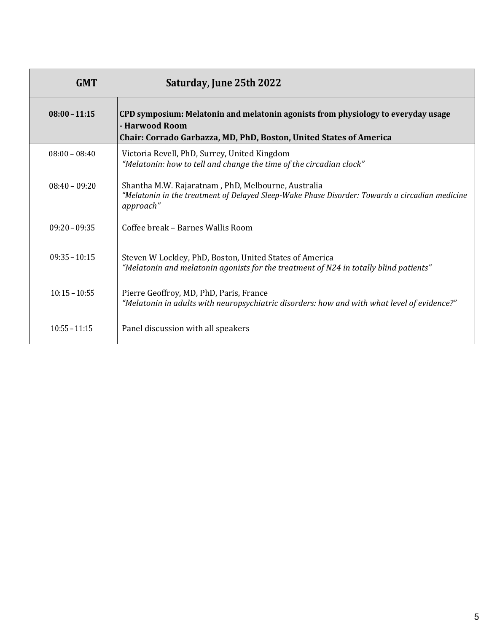| <b>GMT</b>      | Saturday, June 25th 2022                                                                                                                                                  |
|-----------------|---------------------------------------------------------------------------------------------------------------------------------------------------------------------------|
| $08:00 - 11:15$ | CPD symposium: Melatonin and melatonin agonists from physiology to everyday usage<br>- Harwood Room<br>Chair: Corrado Garbazza, MD, PhD, Boston, United States of America |
| $08:00 - 08:40$ | Victoria Revell, PhD, Surrey, United Kingdom<br>"Melatonin: how to tell and change the time of the circadian clock"                                                       |
| $08:40 - 09:20$ | Shantha M.W. Rajaratnam, PhD, Melbourne, Australia<br>"Melatonin in the treatment of Delayed Sleep-Wake Phase Disorder: Towards a circadian medicine<br>approach"         |
| $09:20 - 09:35$ | Coffee break - Barnes Wallis Room                                                                                                                                         |
| $09:35 - 10:15$ | Steven W Lockley, PhD, Boston, United States of America<br>"Melatonin and melatonin agonists for the treatment of $N24$ in totally blind patients"                        |
| $10:15 - 10:55$ | Pierre Geoffroy, MD, PhD, Paris, France<br>"Melatonin in adults with neuropsychiatric disorders: how and with what level of evidence?"                                    |
| $10:55 - 11:15$ | Panel discussion with all speakers                                                                                                                                        |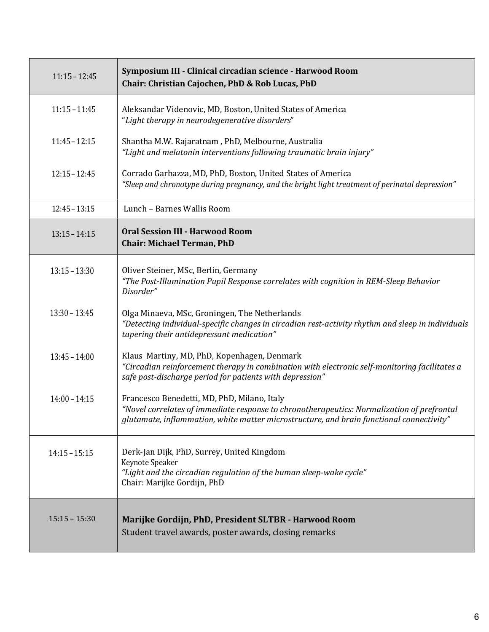| $11:15 - 12:45$ | Symposium III - Clinical circadian science - Harwood Room<br>Chair: Christian Cajochen, PhD & Rob Lucas, PhD                                                                                                                          |  |
|-----------------|---------------------------------------------------------------------------------------------------------------------------------------------------------------------------------------------------------------------------------------|--|
| $11:15 - 11:45$ | Aleksandar Videnovic, MD, Boston, United States of America<br>"Light therapy in neurodegenerative disorders"                                                                                                                          |  |
| $11:45 - 12:15$ | Shantha M.W. Rajaratnam, PhD, Melbourne, Australia<br>"Light and melatonin interventions following traumatic brain injury"                                                                                                            |  |
| $12:15 - 12:45$ | Corrado Garbazza, MD, PhD, Boston, United States of America<br>"Sleep and chronotype during pregnancy, and the bright light treatment of perinatal depression"                                                                        |  |
| $12:45 - 13:15$ | Lunch - Barnes Wallis Room                                                                                                                                                                                                            |  |
| $13:15 - 14:15$ | <b>Oral Session III - Harwood Room</b><br><b>Chair: Michael Terman, PhD</b>                                                                                                                                                           |  |
| $13:15 - 13:30$ | Oliver Steiner, MSc, Berlin, Germany<br>"The Post-Illumination Pupil Response correlates with cognition in REM-Sleep Behavior<br>Disorder"                                                                                            |  |
| $13:30 - 13:45$ | Olga Minaeva, MSc, Groningen, The Netherlands<br>"Detecting individual-specific changes in circadian rest-activity rhythm and sleep in individuals<br>tapering their antidepressant medication"                                       |  |
| $13:45 - 14:00$ | Klaus Martiny, MD, PhD, Kopenhagen, Denmark<br>"Circadian reinforcement therapy in combination with electronic self-monitoring facilitates a<br>safe post-discharge period for patients with depression"                              |  |
| $14:00 - 14:15$ | Francesco Benedetti, MD, PhD, Milano, Italy<br>"Novel correlates of immediate response to chronotherapeutics: Normalization of prefrontal<br>glutamate, inflammation, white matter microstructure, and brain functional connectivity" |  |
| $14:15 - 15:15$ | Derk-Jan Dijk, PhD, Surrey, United Kingdom<br>Keynote Speaker<br>"Light and the circadian regulation of the human sleep-wake cycle"<br>Chair: Marijke Gordijn, PhD                                                                    |  |
| $15:15 - 15:30$ | Marijke Gordijn, PhD, President SLTBR - Harwood Room<br>Student travel awards, poster awards, closing remarks                                                                                                                         |  |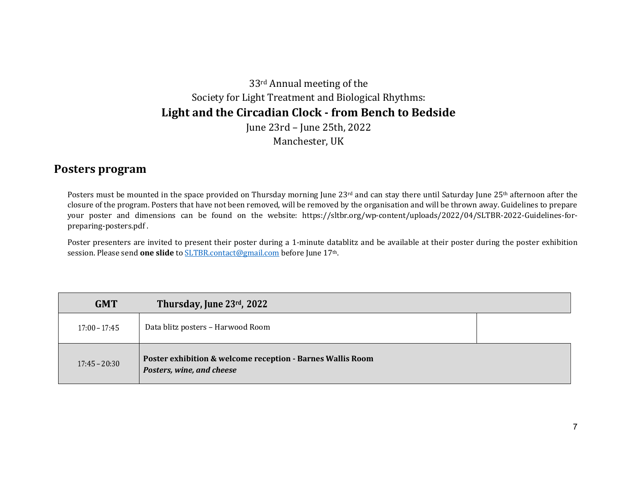## 33rd Annual meeting of the Society for Light Treatment and Biological Rhythms:**Light and the Circadian Clock - from Bench to Bedside** June 23rd – June 25th, 2022 Manchester, UK

## **Posters program**

Posters must be mounted in the space provided on Thursday morning June 23rd and can stay there until Saturday June 25<sup>th</sup> afternoon after the closure of the program. Posters that have not been removed, will be removed by the organisation and will be thrown away. Guidelines to prepare your poster and dimensions can be found on the website: https://sltbr.org/wp-content/uploads/2022/04/SLTBR-2022-Guidelines-forpreparing-posters.pdf .

Poster presenters are invited to present their poster during a 1-minute datablitz and be available at their poster during the poster exhibition session. Please send **one slide** to SLTBR.contact@gmail.com before June 17th.

| <b>GMT</b>      | Thursday, June $23rd$ , 2022                                                            |  |
|-----------------|-----------------------------------------------------------------------------------------|--|
| $17:00 - 17:45$ | Data blitz posters - Harwood Room                                                       |  |
| $17:45 - 20:30$ | Poster exhibition & welcome reception - Barnes Wallis Room<br>Posters, wine, and cheese |  |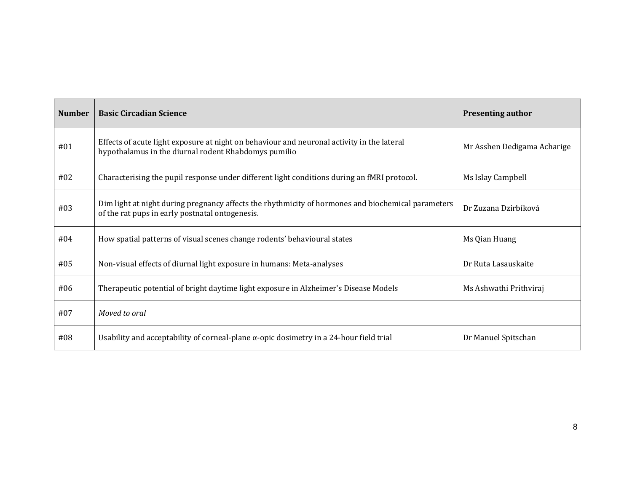| <b>Number</b> | <b>Basic Circadian Science</b>                                                                                                                        | <b>Presenting author</b>    |
|---------------|-------------------------------------------------------------------------------------------------------------------------------------------------------|-----------------------------|
| #01           | Effects of acute light exposure at night on behaviour and neuronal activity in the lateral<br>hypothalamus in the diurnal rodent Rhabdomys pumilio    | Mr Asshen Dedigama Acharige |
| #02           | Characterising the pupil response under different light conditions during an fMRI protocol.                                                           | Ms Islay Campbell           |
| #03           | Dim light at night during pregnancy affects the rhythmicity of hormones and biochemical parameters<br>of the rat pups in early postnatal ontogenesis. | Dr Zuzana Dzirbíková        |
| #04           | How spatial patterns of visual scenes change rodents' behavioural states                                                                              | Ms Qian Huang               |
| #05           | Non-visual effects of diurnal light exposure in humans: Meta-analyses                                                                                 | Dr Ruta Lasauskaite         |
| #06           | Therapeutic potential of bright daytime light exposure in Alzheimer's Disease Models                                                                  | Ms Ashwathi Prithviraj      |
| #07           | Moved to oral                                                                                                                                         |                             |
| #08           | Usability and acceptability of corneal-plane $\alpha$ -opic dosimetry in a 24-hour field trial                                                        | Dr Manuel Spitschan         |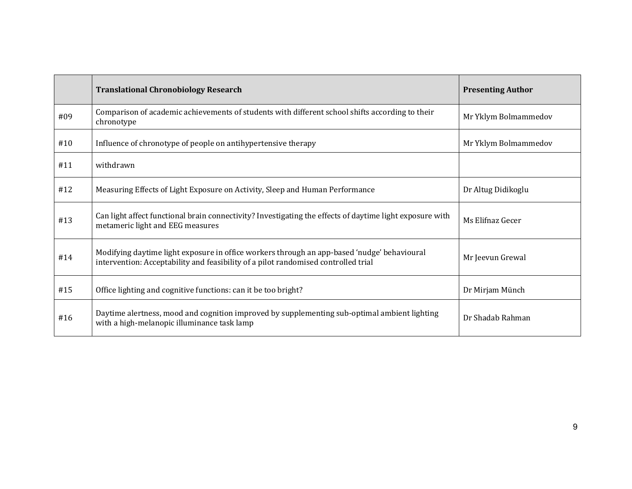|     | <b>Translational Chronobiology Research</b>                                                                                                                                       | <b>Presenting Author</b> |
|-----|-----------------------------------------------------------------------------------------------------------------------------------------------------------------------------------|--------------------------|
| #09 | Comparison of academic achievements of students with different school shifts according to their<br>chronotype                                                                     | Mr Yklym Bolmammedov     |
| #10 | Influence of chronotype of people on antihypertensive therapy                                                                                                                     | Mr Yklym Bolmammedov     |
| #11 | withdrawn                                                                                                                                                                         |                          |
| #12 | Measuring Effects of Light Exposure on Activity, Sleep and Human Performance                                                                                                      | Dr Altug Didikoglu       |
| #13 | Can light affect functional brain connectivity? Investigating the effects of daytime light exposure with<br>metameric light and EEG measures                                      | Ms Elifnaz Gecer         |
| #14 | Modifying daytime light exposure in office workers through an app-based 'nudge' behavioural<br>intervention: Acceptability and feasibility of a pilot randomised controlled trial | Mr Jeevun Grewal         |
| #15 | Office lighting and cognitive functions: can it be too bright?                                                                                                                    | Dr Mirjam Münch          |
| #16 | Daytime alertness, mood and cognition improved by supplementing sub-optimal ambient lighting<br>with a high-melanopic illuminance task lamp                                       | Dr Shadab Rahman         |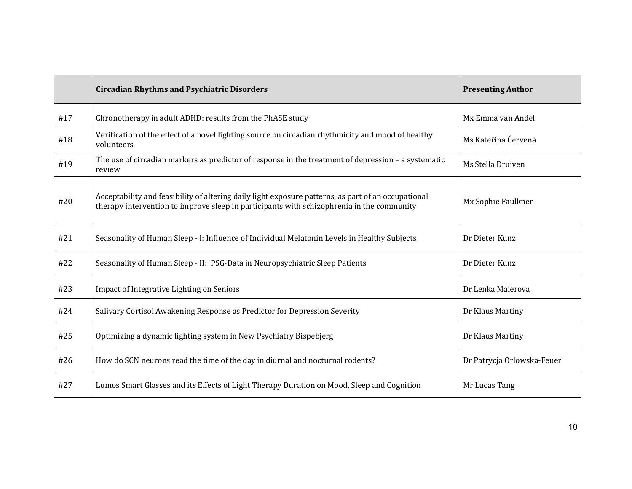|     | <b>Circadian Rhythms and Psychiatric Disorders</b>                                                                                                                                               | <b>Presenting Author</b>   |
|-----|--------------------------------------------------------------------------------------------------------------------------------------------------------------------------------------------------|----------------------------|
| #17 | Chronotherapy in adult ADHD: results from the PhASE study                                                                                                                                        | Mx Emma van Andel          |
| #18 | Verification of the effect of a novel lighting source on circadian rhythmicity and mood of healthy<br>volunteers                                                                                 | Ms Kateřina Červená        |
| #19 | The use of circadian markers as predictor of response in the treatment of depression - a systematic<br>review                                                                                    | Ms Stella Druiven          |
| #20 | Acceptability and feasibility of altering daily light exposure patterns, as part of an occupational<br>therapy intervention to improve sleep in participants with schizophrenia in the community | Mx Sophie Faulkner         |
| #21 | Seasonality of Human Sleep - I: Influence of Individual Melatonin Levels in Healthy Subjects                                                                                                     | Dr Dieter Kunz             |
| #22 | Seasonality of Human Sleep - II: PSG-Data in Neuropsychiatric Sleep Patients                                                                                                                     | Dr Dieter Kunz             |
| #23 | Impact of Integrative Lighting on Seniors                                                                                                                                                        | Dr Lenka Maierova          |
| #24 | Salivary Cortisol Awakening Response as Predictor for Depression Severity                                                                                                                        | Dr Klaus Martiny           |
| #25 | Optimizing a dynamic lighting system in New Psychiatry Bispebjerg                                                                                                                                | Dr Klaus Martiny           |
| #26 | How do SCN neurons read the time of the day in diurnal and nocturnal rodents?                                                                                                                    | Dr Patrycja Orlowska-Feuer |
| #27 | Lumos Smart Glasses and its Effects of Light Therapy Duration on Mood, Sleep and Cognition                                                                                                       | Mr Lucas Tang              |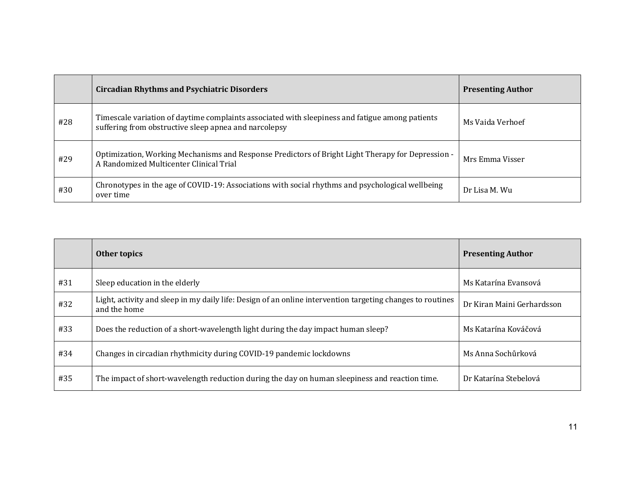|     | <b>Circadian Rhythms and Psychiatric Disorders</b>                                                                                                       | <b>Presenting Author</b> |
|-----|----------------------------------------------------------------------------------------------------------------------------------------------------------|--------------------------|
| #28 | Timescale variation of daytime complaints associated with sleepiness and fatigue among patients<br>suffering from obstructive sleep apnea and narcolepsy | Ms Vaida Verhoef         |
| #29 | Optimization, Working Mechanisms and Response Predictors of Bright Light Therapy for Depression -<br>A Randomized Multicenter Clinical Trial             | Mrs Emma Visser          |
| #30 | Chronotypes in the age of COVID-19: Associations with social rhythms and psychological wellbeing<br>over time                                            | Dr Lisa M. Wu            |

|     | Other topics                                                                                                               | <b>Presenting Author</b>   |
|-----|----------------------------------------------------------------------------------------------------------------------------|----------------------------|
| #31 | Sleep education in the elderly                                                                                             | Ms Katarína Evansová       |
| #32 | Light, activity and sleep in my daily life: Design of an online intervention targeting changes to routines<br>and the home | Dr Kiran Maini Gerhardsson |
| #33 | Does the reduction of a short-wavelength light during the day impact human sleep?                                          | Ms Katarína Kováčová       |
| #34 | Changes in circadian rhythmicity during COVID-19 pandemic lockdowns                                                        | Ms Anna Sochůrková         |
| #35 | The impact of short-wavelength reduction during the day on human sleepiness and reaction time.                             | Dr Katarína Stebelová      |